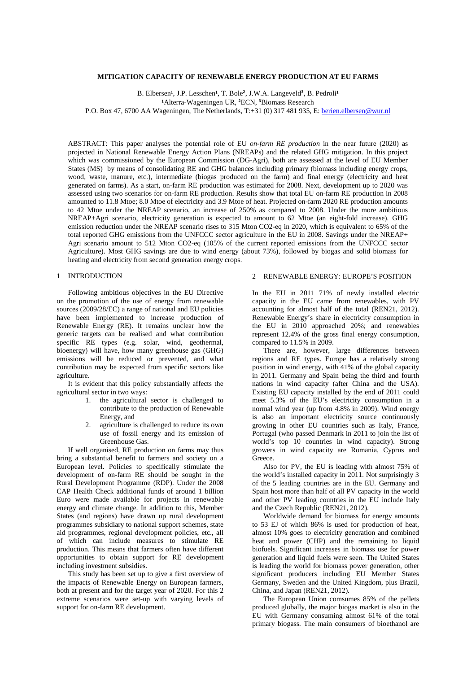#### **MITIGATION CAPACITY OF RENEWABLE ENERGY PRODUCTION AT EU FARMS**

B. Elbersen<sup>1</sup>, J.P. Lesschen<sup>1</sup>, T. Bole<sup>2</sup>, J.W.A. Langeveld<sup>3</sup>, B. Pedroli<sup>1</sup> <sup>1</sup> Alterra-Wageningen UR, <sup>2</sup>ECN, <sup>3</sup> Biomass Research P.O. Box 47, 6700 AA Wageningen, The Netherlands, T:+31 (0) 317 481 935, E[: berien.elbersen@wur.nl](mailto:berien.elbersen@wur.nl)

ABSTRACT: This paper analyses the potential role of EU *on-farm RE production* in the near future (2020) as projected in National Renewable Energy Action Plans (NREAPs) and the related GHG mitigation. In this project which was commissioned by the European Commission (DG-Agri), both are assessed at the level of EU Member States (MS) by means of consolidating RE and GHG balances including primary (biomass including energy crops, wood, waste, manure, etc.), intermediate (biogas produced on the farm) and final energy (electricity and heat generated on farms). As a start, on-farm RE production was estimated for 2008. Next, development up to 2020 was assessed using two scenarios for on-farm RE production. Results show that total EU on-farm RE production in 2008 amounted to 11.8 Mtoe; 8.0 Mtoe of electricity and 3.9 Mtoe of heat. Projected on-farm 2020 RE production amounts to 42 Mtoe under the NREAP scenario, an increase of 250% as compared to 2008. Under the more ambitious NREAP+Agri scenario, electricity generation is expected to amount to 62 Mtoe (an eight-fold increase). GHG emission reduction under the NREAP scenario rises to 315 Mton CO2-eq in 2020, which is equivalent to 65% of the total reported GHG emissions from the UNFCCC sector agriculture in the EU in 2008. Savings under the NREAP+ Agri scenario amount to 512 Mton CO2-eq (105% of the current reported emissions from the UNFCCC sector Agriculture). Most GHG savings are due to wind energy (about 73%), followed by biogas and solid biomass for heating and electricity from second generation energy crops.

# 1 INTRODUCTION

Following ambitious objectives in the EU Directive on the promotion of the use of energy from renewable sources (2009/28/EC) a range of national and EU policies have been implemented to increase production of Renewable Energy (RE). It remains unclear how the generic targets can be realised and what contribution specific RE types (e.g. solar, wind, geothermal, bioenergy) will have, how many greenhouse gas (GHG) emissions will be reduced or prevented, and what contribution may be expected from specific sectors like agriculture.

It is evident that this policy substantially affects the agricultural sector in two ways:

- 1. the agricultural sector is challenged to contribute to the production of Renewable Energy, and
- 2. agriculture is challenged to reduce its own use of fossil energy and its emission of Greenhouse Gas.

If well organised, RE production on farms may thus bring a substantial benefit to farmers and society on a European level. Policies to specifically stimulate the development of on-farm RE should be sought in the Rural Development Programme (RDP). Under the 2008 CAP Health Check additional funds of around 1 billion Euro were made available for projects in renewable energy and climate change. In addition to this, Member States (and regions) have drawn up rural development programmes subsidiary to national support schemes, state aid programmes, regional development policies, etc., all of which can include measures to stimulate RE production. This means that farmers often have different opportunities to obtain support for RE development including investment subsidies.

This study has been set up to give a first overview of the impacts of Renewable Energy on European farmers, both at present and for the target year of 2020. For this 2 extreme scenarios were set-up with varying levels of support for on-farm RE development.

# 2 RENEWABLE ENERGY: EUROPE'S POSITION

In the EU in 2011 71% of newly installed electric capacity in the EU came from renewables, with PV accounting for almost half of the total (REN21, 2012). Renewable Energy's share in electricity consumption in the EU in 2010 approached 20%; and renewables represent 12.4% of the gross final energy consumption, compared to 11.5% in 2009.

There are, however, large differences between regions and RE types. Europe has a relatively strong position in wind energy, with 41% of the global capacity in 2011. Germany and Spain being the third and fourth nations in wind capacity (after China and the USA). Existing EU capacity installed by the end of 2011 could meet 5.3% of the EU's electricity consumption in a normal wind year (up from 4.8% in 2009). Wind energy is also an important electricity source continuously growing in other EU countries such as Italy, France, Portugal (who passed Denmark in 2011 to join the list of world's top 10 countries in wind capacity). Strong growers in wind capacity are Romania, Cyprus and Greece.

Also for PV, the EU is leading with almost 75% of the world's installed capacity in 2011. Not surprisingly 3 of the 5 leading countries are in the EU. Germany and Spain host more than half of all PV capacity in the world and other PV leading countries in the EU include Italy and the Czech Republic (REN21, 2012).

Worldwide demand for biomass for energy amounts to 53 EJ of which 86% is used for production of heat, almost 10% goes to electricity generation and combined heat and power (CHP) and the remaining to liquid biofuels. Significant increases in biomass use for power generation and liquid fuels were seen. The United States is leading the world for biomass power generation, other significant producers including EU Member States Germany, Sweden and the United Kingdom, plus Brazil, China, and Japan (REN21, 2012).

The European Union comsumes 85% of the pellets produced globally, the major biogas market is also in the EU with Germany consuming almost 61% of the total primary biogass. The main consumers of bioethanol are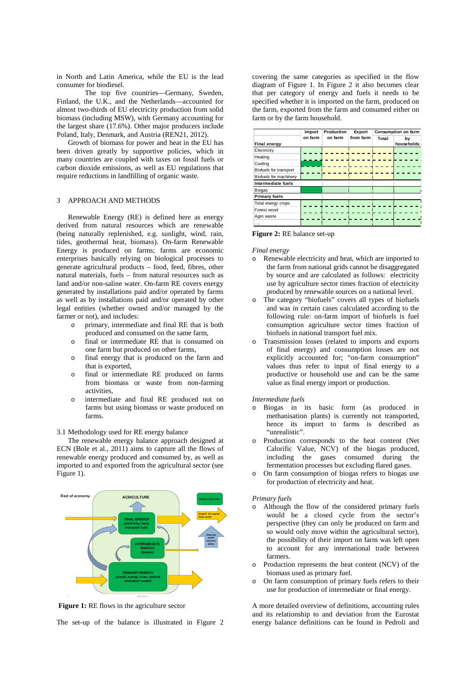in North and Latin America, while the EU is the lead consumer for biodiesel.

The top five countries—Germany, Sweden, Finland, the U.K., and the Netherlands—accounted for almost two-thirds of EU electricity production from solid biomass (including MSW), with Germany accounting for the largest share (17.6%). Other major producers include Poland, Italy, Denmark, and Austria (REN21, 2012).

Growth of biomass for power and heat in the EU has been driven greatly by supportive policies, which in many countries are coupled with taxes on fossil fuels or carbon dioxide emissions, as well as EU regulations that require reductions in landfilling of organic waste.

# 3 APPROACH AND METHODS

Renewable Energy (RE) is defined here as energy derived from natural resources which are renewable (being naturally replenished, e.g. sunlight, wind, rain, tides, geothermal heat, biomass). On-farm Renewable Energy is produced on farms; farms are economic enterprises basically relying on biological processes to generate agricultural products – food, feed, fibres, other natural materials, fuels – from natural resources such as land and/or non-saline water. On-farm RE covers energy generated by installations paid and/or operated by farms as well as by installations paid and/or operated by other legal entities (whether owned and/or managed by the farmer or not), and includes:

- o primary, intermediate and final RE that is both produced and consumed on the same farm,
- o final or intermediate RE that is consumed on one farm but produced on other farms,
- o final energy that is produced on the farm and that is exported,
- o final or intermediate RE produced on farms from biomass or waste from non-farming activities,
- o intermediate and final RE produced not on farms but using biomass or waste produced on farms.

3.1 Methodology used for RE energy balance

The renewable energy balance approach designed at ECN (Bole et al., 2011) aims to capture all the flows of renewable energy produced and consumed by, as well as imported to and exported from the agricultural sector (see Figure 1).



**Figure 1:** RE flows in the agriculture sector

The set-up of the balance is illustrated in Figure 2

covering the same categories as specified in the flow diagram of Figure 1. In Figure 2 it also becomes clear that per category of energy and fuels it needs to be specified whether it is imported on the farm, produced on the farm, exported from the farm and consumed either on farm or by the farm household.

|                        | Import  | Production | Export    |       | Consumption on farm |
|------------------------|---------|------------|-----------|-------|---------------------|
|                        | on farm | on farm    | from farm | Total | by                  |
| Final energy           |         |            |           |       | households          |
| Electricity            |         |            |           |       |                     |
| Heating                |         |            |           |       |                     |
| Cooling                |         |            |           |       |                     |
| Biofuels for transport |         |            |           |       |                     |
| Biofuels for machinery |         |            |           |       |                     |
| Intermediate fuels     |         |            |           |       |                     |
| <b>Biogas</b>          |         |            |           |       |                     |
| <b>Primary fuels</b>   |         |            |           |       |                     |
| Total energy crops     |         |            |           |       |                     |
| Forest wood            |         |            |           |       |                     |
| Agro waste             |         |            |           |       |                     |
| .                      |         |            |           |       |                     |

**Figure 2:** RE balance set-up

*Final energy*

- o Renewable electricity and heat, which are imported to the farm from national grids cannot be disaggregated by source and are calculated as follows: electricity use by agriculture sector times fraction of electricity produced by renewable sources on a national level.
- o The category "biofuels" covers all types of biofuels and was in certain cases calculated according to the following rule: on-farm import of biofuels is fuel consumption agriculture sector times fraction of biofuels in national transport fuel mix.
- o Transmission losses (related to imports and exports of final energy) and consumption losses are not explicitly accounted for; "on-farm consumption" values thus refer to input of final energy to a productive or household use and can be the same value as final energy import or production.

## *Intermediate fuels*

- o Biogas in its basic form (as produced in methanisation plants) is currently not transported, hence its import to farms is described as "unrealistic".
- o Production corresponds to the heat content (Net Calorific Value, NCV) of the biogas produced, including the gases consumed during the fermentation processes but excluding flared gases.
- o On farm consumption of biogas refers to biogas use for production of electricity and heat.

#### *Primary fuels*

- Although the flow of the considered primary fuels would be a closed cycle from the sector's perspective (they can only be produced on farm and so would only move within the agricultural sector), the possibility of their import on farm was left open to account for any international trade between farmers.
- o Production represents the heat content (NCV) of the biomass used as primary fuel.
- o On farm consumption of primary fuels refers to their use for production of intermediate or final energy.

A more detailed overview of definitions, accounting rules and its relationship to and deviation from the Eurostat energy balance definitions can be found in Pedroli and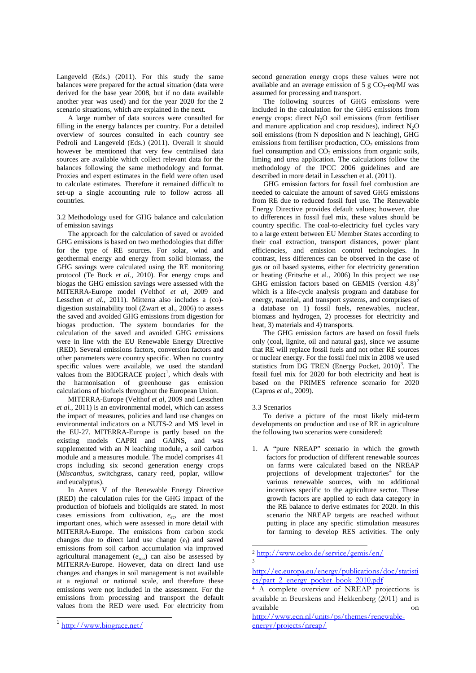Langeveld (Eds.) (2011). For this study the same balances were prepared for the actual situation (data were derived for the base year 2008, but if no data available another year was used) and for the year 2020 for the 2 scenario situations, which are explained in the next.

A large number of data sources were consulted for filling in the energy balances per country. For a detailed overview of sources consulted in each country see Pedroli and Langeveld (Eds.) (2011). Overall it should however be mentioned that very few centralised data sources are available which collect relevant data for the balances following the same methodology and format. Proxies and expert estimates in the field were often used to calculate estimates. Therefore it remained difficult to set-up a single accounting rule to follow across all countries.

3.2 Methodology used for GHG balance and calculation of emission savings

The approach for the calculation of saved or avoided GHG emissions is based on two methodologies that differ for the type of RE sources. For solar, wind and geothermal energy and energy from solid biomass, the GHG savings were calculated using the RE monitoring protocol (Te Buck *et al*., 2010). For energy crops and biogas the GHG emission savings were assessed with the MITERRA-Europe model (Velthof *et al*, 2009 and Lesschen et al., 2011). Mitterra also includes a (co)digestion sustainability tool (Zwart et al., 2006) to assess the saved and avoided GHG emissions from digestion for biogas production. The system boundaries for the calculation of the saved and avoided GHG emissions were in line with the EU Renewable Energy Directive (RED). Several emissions factors, conversion factors and other parameters were country specific. When no country specific values were available, we used the standard values from the BIOGRACE project<sup>[1](#page-2-0)</sup>, which deals with the harmonisation of greenhouse gas emission calculations of biofuels throughout the European Union.

MITERRA-Europe (Velthof *et al*, 2009 and Lesschen *et al.*, 2011) is an environmental model, which can assess the impact of measures, policies and land use changes on environmental indicators on a NUTS-2 and MS level in the EU-27. MITERRA-Europe is partly based on the existing models CAPRI and GAINS, and was supplemented with an N leaching module, a soil carbon module and a measures module. The model comprises 41 crops including six second generation energy crops (*Miscanthus*, switchgrass, canary reed, poplar, willow and eucalyptus).

<span id="page-2-1"></span>In Annex V of the Renewable Energy Directive (RED) the calculation rules for the GHG impact of the production of biofuels and bioliquids are stated. In most cases emissions from cultivation,  $e_{ec}$ , are the most important ones, which were assessed in more detail with MITERRA-Europe. The emissions from carbon stock changes due to direct land use change (*el*) and saved emissions from soil carbon accumulation via improved agricultural management (*esca*) can also be assessed by MITERRA-Europe. However, data on direct land use changes and changes in soil management is not available at a regional or national scale, and therefore these emissions were not included in the assessment. For the emissions from processing and transport the default values from the RED were used. For electricity from

second generation energy crops these values were not available and an average emission of 5 g  $CO_2$ -eq/MJ was assumed for processing and transport.

The following sources of GHG emissions were included in the calculation for the GHG emissions from energy crops: direct  $N_2O$  soil emissions (from fertiliser and manure application and crop residues), indirect  $N_2O$ soil emissions (from N deposition and N leaching), GHG emissions from fertiliser production,  $CO<sub>2</sub>$  emissions from fuel consumption and  $CO<sub>2</sub>$  emissions from organic soils, liming and urea application. The calculations follow the methodology of the IPCC 2006 guidelines and are described in more detail in Lesschen et al. (2011).

GHG emission factors for fossil fuel combustion are needed to calculate the amount of saved GHG emissions from RE due to reduced fossil fuel use. The Renewable Energy Directive provides default values; however, due to differences in fossil fuel mix, these values should be country specific. The coal-to-electricity fuel cycles vary to a large extent between EU Member States according to their coal extraction, transport distances, power plant efficiencies, and emission control technologies. In contrast, less differences can be observed in the case of gas or oil based systems, either for electricity generation or heating (Fritsche et al., 2006) In this project we use GHG emission factors based on GEMIS (version  $4.8)^2$  $4.8)^2$ which is a life-cycle analysis program and database for energy, material, and transport systems, and comprises of a database on 1) fossil fuels, renewables, nuclear, biomass and hydrogen, 2) processes for electricity and heat, 3) materials and 4) transports.

The GHG emission factors are based on fossil fuels only (coal, lignite, oil and natural gas), since we assume that RE will replace fossil fuels and not other RE sources or nuclear energy. For the fossil fuel mix in 2008 we used statistics from DG TREN (Energy Pocket,  $2010$ )<sup>[3](#page-2-2)</sup>. The fossil fuel mix for 2020 for both electricity and heat is based on the PRIMES reference scenario for 2020 (Capros *et al*., 2009).

## 3.3 Scenarios

1

To derive a picture of the most likely mid-term developments on production and use of RE in agriculture the following two scenarios were considered:

1. A "pure NREAP" scenario in which the growth factors for production of different renewable sources on farms were calculated based on the NREAP projections of development trajectories<sup>[4](#page-2-3)</sup> for the various renewable sources, with no additional incentives specific to the agriculture sector. These growth factors are applied to each data category in the RE balance to derive estimates for 2020. In this scenario the NREAP targets are reached without putting in place any specific stimulation measures for farming to develop RES activities. The only

<span id="page-2-3"></span><span id="page-2-2"></span><span id="page-2-0"></span><sup>1</sup> <http://www.biograce.net/>

<sup>2</sup> <http://www.oeko.de/service/gemis/en/> 3

[http://ec.europa.eu/energy/publications/doc/statisti](http://ec.europa.eu/energy/publications/doc/statistics/part_2_energy_pocket_book_2010.pdf) [cs/part\\_2\\_energy\\_pocket\\_book\\_2010.pdf](http://ec.europa.eu/energy/publications/doc/statistics/part_2_energy_pocket_book_2010.pdf)

<sup>&</sup>lt;sup>4</sup> A complete overview of NREAP projections is available in Beurskens and Hekkenberg (2011) and is available on

[http://www.ecn.nl/units/ps/themes/renewable](http://www.ecn.nl/units/ps/themes/renewable-energy/projects/nreap/)[energy/projects/nreap/](http://www.ecn.nl/units/ps/themes/renewable-energy/projects/nreap/)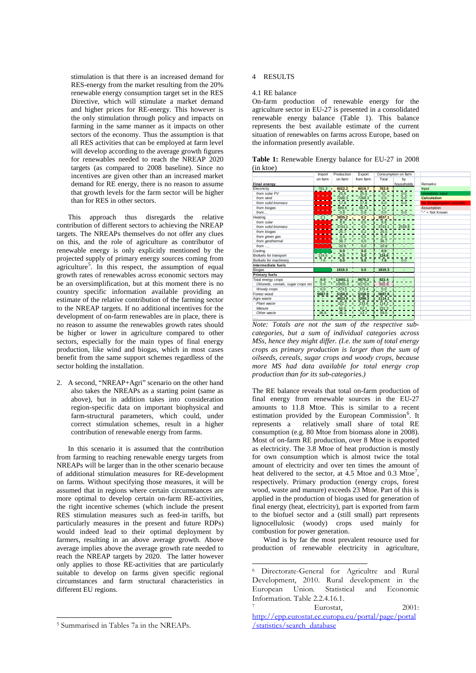stimulation is that there is an increased demand for RES-energy from the market resulting from the 20% renewable energy consumption target set in the RES Directive, which will stimulate a market demand and higher prices for RE-energy. This however is the only stimulation through policy and impacts on farming in the same manner as it impacts on other sectors of the economy. Thus the assumption is that all RES activities that can be employed at farm level will develop according to the average growth figures for renewables needed to reach the NREAP 2020 targets (as compared to 2008 baseline). Since no incentives are given other than an increased market demand for RE energy, there is no reason to assume that growth levels for the farm sector will be higher than for RES in other sectors.

This approach thus disregards the relative contribution of different sectors to achieving the NREAP targets. The NREAPs themselves do not offer any clues on this, and the role of agriculture as contributor of renewable energy is only explicitly mentioned by the projected supply of primary energy sources coming from agriculture<sup>[5](#page-3-0)</sup>. In this respect, the assumption of equal growth rates of renewables across economic sectors may be an oversimplification, but at this moment there is no country specific information available providing an estimate of the relative contribution of the farming sector to the NREAP targets. If no additional incentives for the development of on-farm renewables are in place, there is no reason to assume the renewables growth rates should be higher or lower in agriculture compared to other sectors, especially for the main types of final energy production, like wind and biogas, which in most cases benefit from the same support schemes regardless of the sector holding the installation.

2. A second, "NREAP+Agri" scenario on the other hand also takes the NREAPs as a starting point (same as above), but in addition takes into consideration region-specific data on important biophysical and farm-structural parameters, which could, under correct stimulation schemes, result in a higher contribution of renewable energy from farms.

In this scenario it is assumed that the contribution from farming to reaching renewable energy targets from NREAPs will be larger than in the other scenario because of additional stimulation measures for RE-development on farms. Without specifying those measures, it will be assumed that in regions where certain circumstances are more optimal to develop certain on-farm RE-activities, the right incentive schemes (which include the present RES stimulation measures such as feed-in tariffs, but particularly measures in the present and future RDPs) would indeed lead to their optimal deployment by farmers, resulting in an above average growth. Above average implies above the average growth rate needed to reach the NREAP targets by 2020. The latter however only applies to those RE-activities that are particularly suitable to develop on farms given specific regional circumstances and farm structural characteristics in different EU regions.

## 4 RESULTS

#### 4.1 RE balance

On-farm production of renewable energy for the agriculture sector in EU-27 is presented in a consolidated renewable energy balance (Table 1). This balance represents the best available estimate of the current situation of renewables on farms across Europe, based on the information presently available.

**Table 1:** Renewable Energy balance for EU-27 in 2008 (in ktoe)

|                                    | Import  | Production | Export    | Consumption on farm |            |                            |
|------------------------------------|---------|------------|-----------|---------------------|------------|----------------------------|
|                                    | on farm | on farm    | from farm | Total               | bv         |                            |
| <b>Final energy</b>                |         |            |           |                     | households | Remarks:                   |
| Electricity                        | 761.3   | 8022.2     | 8019.7    | 763.8               |            | Input                      |
| from solar PV                      |         | 25.6       | 25.6      | 0.0                 | 0.0        | Unrealistic input          |
| from wind                          |         | 7288.3     | 7288.3    | 0.0                 | 0.0        | <b>Calculation</b>         |
| from solid biomass                 |         | 17.8       | 17.8      | 0.0                 | 0.0        | No disaggregation possible |
| from biogas                        |         | 689.8      | 687.3     | 1.2                 |            | Assumption                 |
| from                               |         | 0.8        | 0.8       | 0.0                 | 0.0        | "-" = Not Known            |
| Heating                            | 2.1     | 3835.2     | 0.2       | 3837.1              |            |                            |
| from solar                         |         | 8.8        | 0.0       | 8<br>8              |            |                            |
| from solid biomass                 |         | 3743.1     | 0.0       | 3743.1              | 2539.8     |                            |
| from biogas                        |         | 25.7       | 0.2       | 25.5                |            |                            |
| from green gas                     |         | 0.0        | 0.0       | 0.0                 |            |                            |
| from geothermal                    |         | 36.7       | 0.0       | 36.7                |            |                            |
| $from \ldots$                      |         | 20.8       | 0.0       | 20.8                |            |                            |
| Cooling                            |         | 0.0        | $0.0\,$   | 0.0                 |            |                            |
| Biofuels for transport             | 124.6   | 0.0        | 0.0       | 124.6               |            |                            |
| Biofuels for machinery             | 7.6     | 0.0        | 0.0       | 7.6                 | 0.0        |                            |
| Intermediate fuels                 |         |            |           |                     |            |                            |
| Biogas                             |         | 1819.3     | 0.0       | 1819.3              |            |                            |
| <b>Primary fuels</b>               |         |            |           |                     |            |                            |
| Total energy crops                 | 0.0     | 13401.1    | 8675.2    | 822.4               |            |                            |
| Oilseeds, cereals, sugar crops etc | 0.0     | 10955.4    | 8175.0    | 832.8               |            |                            |
| Woody crops                        | 0.0     | 373.5      | 373.4     | 0.0                 |            |                            |
| Forest wood                        | 5687.8  | 5158.0     | 5158.0    | 5687.8              |            |                            |
| Agro waste                         |         | 4923.9     | 3298.3    | 1114.1              |            |                            |
| Plant waste                        |         | 322.7      | 233.6     | 114.2               |            |                            |
| Manure                             |         | 60.5       | 67.1      | 231.3               |            |                            |
| Other waste                        | 36.9    | 36.2       | 13.7      | 59.5                |            |                            |
|                                    |         |            |           |                     |            |                            |

*Note: Totals are not the sum of the respective subcategories, but a sum of individual categories across MSs, hence they might differ. (I.e. the sum of total energy crops as primary production is larger than the sum of oilseeds, cereals, sugar crops and woody crops, because more MS had data available for total energy crop production than for its sub-categories.)* 

The RE balance reveals that total on-farm production of final energy from renewable sources in the EU-27 amounts to 11.8 Mtoe. This is similar to a recent estimation provided by the European Commission<sup>[6](#page-3-1)</sup>. It represents a relatively small share of total RE consumption (e.g. 80 Mtoe from biomass alone in 2008). Most of on-farm RE production, over 8 Mtoe is exported as electricity. The 3.8 Mtoe of heat production is mostly for own consumption which is almost twice the total amount of electricity and over ten times the amount of heat delivered to the sector, at 4.5 Mtoe and 0.3 Mtoe<sup>[7](#page-3-2)</sup>, respectively. Primary production (energy crops, forest wood, waste and manure) exceeds 23 Mtoe. Part of this is applied in the production of biogas used for generation of final energy (heat, electricity), part is exported from farm to the biofuel sector and a (still small) part represents lignocellulosic (woody) crops used mainly for combustion for power generation.

Wind is by far the most prevalent resource used for production of renewable electricity in agriculture,

1

<span id="page-3-2"></span><span id="page-3-1"></span>1

<sup>6</sup> Directorate-General for Agricultre and Rural Development, 2010. Rural development in the European Union. Statistical and Economic Information. Table 2.2.4.16.1.

Eurostat, 2001: [http://epp.eurostat.ec.europa.eu/portal/page/portal](http://epp.eurostat.ec.europa.eu/portal/page/portal/statistics/search_database) [/statistics/search\\_database](http://epp.eurostat.ec.europa.eu/portal/page/portal/statistics/search_database)

<span id="page-3-0"></span><sup>5</sup> Summarised in Tables 7a in the NREAPs.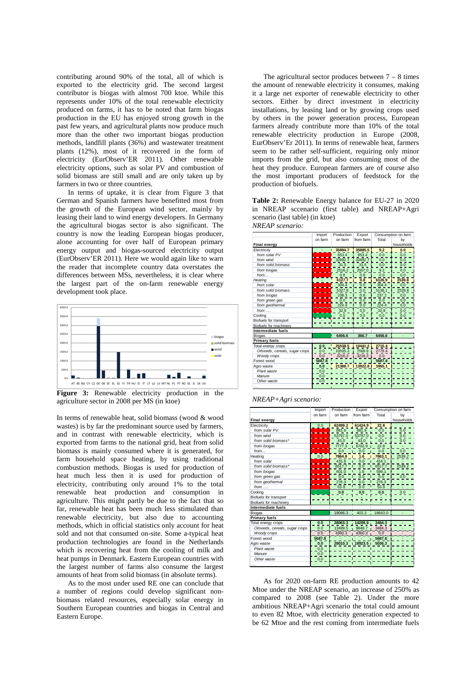contributing around 90% of the total, all of which is exported to the electricity grid. The second largest contributor is biogas with almost 700 ktoe. While this represents under 10% of the total renewable electricity produced on farms, it has to be noted that farm biogas production in the EU has enjoyed strong growth in the past few years, and agricultural plants now produce much more than the other two important biogas production methods, landfill plants (36%) and wastewater treatment plants (12%), most of it recovered in the form of electricity [\(EurObserv'ER 2011\)](#page-7-0). Other renewable electricity options, such as solar PV and combustion of solid biomass are still small and are only taken up by farmers in two or three countries.

In terms of uptake, it is clear from Figure 3 that German and Spanish farmers have benefitted most from the growth of the European wind sector, mainly by leasing their land to wind energy developers. In Germany the agricultural biogas sector is also significant. The country is now the leading European biogas producer, alone accounting for over half of European primary energy output and biogas-sourced electricity output [\(EurObserv'ER 2011\)](#page-7-0). Here we would again like to warn the reader that incomplete country data overstates the differences between MSs, nevertheless, it is clear where the largest part of the on-farm renewable energy development took place.



**Figure 3:** Renewable electricity production in the agriculture sector in 2008 per MS (in ktoe)

In terms of renewable heat, solid biomass (wood & wood wastes) is by far the predominant source used by farmers, and in contrast with renewable electricity, which is exported from farms to the national grid, heat from solid biomass is mainly consumed where it is generated, for farm household space heating, by using traditional combustion methods. Biogas is used for production of heat much less then it is used for production of electricity, contributing only around 1% to the total renewable heat production and consumption in agriculture. This might partly be due to the fact that so far, renewable heat has been much less stimulated than renewable electricity, but also due to accounting methods, which in official statistics only account for heat sold and not that consumed on-site. Some a-typical heat production technologies are found in the Netherlands which is recovering heat from the cooling of milk and heat pumps in Denmark. Eastern European countries with the largest number of farms also consume the largest amounts of heat from solid biomass (in absolute terms).

As to the most under used RE one can conclude that a number of regions could develop significant nonbiomass related resources, especially solar energy in Southern European countries and biogas in Central and Eastern Europe.

The agricultural sector produces between  $7 - 8$  times the amount of renewable electricity it consumes, making it a large net exporter of renewable electricity to other sectors. Either by direct investment in electricity installations, by leasing land or by growing crops used by others in the power generation process, European farmers already contribute more than 10% of the total renewable electricity production in Europe (2008, EurObserv'Er 2011). In terms of renewable heat, farmers seem to be rather self-sufficient, requiring only minor imports from the grid, but also consuming most of the heat they produce. European farmers are of course also the most important producers of feedstock for the production of biofuels.

**Table 2:** Renewable Energy balance for EU-27 in 2020 in NREAP sccenario (first table) and NREAP+Agri scenario (last table) (in ktoe) *NREAP scenario:*

|                                | Import  | Production | Export                |        | Consumption on farm |
|--------------------------------|---------|------------|-----------------------|--------|---------------------|
|                                | on farm | on farm    | from farm             | Total  | by                  |
| <b>Final energy</b>            |         |            |                       |        | households          |
| Electricity                    |         | 35894.7    | 35885.5               | 9.2    | 0.0                 |
| from solar PV                  |         | 653.4      | 653.4                 | 0.0    | 0.0                 |
| from wind                      |         | 32692.7    | 32692.7               | 0.0    | 0.0                 |
| from solid biomass             |         | 31.5       | 31.5                  | 0.0    | 0.0                 |
| from biogas                    |         | 2516.2     | 2507.0                | 9.2    | 0.0                 |
| from                           |         | 0.8        | 0.8                   | 0.0    | 0.0                 |
| Heating                        |         | 6127.7     | $\bf{0}$<br>8         | 6126.9 | 2539.8              |
| from solar                     |         | 304.4      | 0.0                   | 304.4  | 0.0                 |
| from solid biomass             |         | 5327.8     | 0.0                   | 5138.1 | 2539.8              |
| from biogas                    |         | 238.3      | 0.8                   | 237.2  | 0.0                 |
| from green gas                 |         | 0.0        | 0.0                   | 0.0    | 0.0                 |
| from geothermal                |         | 224.4      | 0.0                   | 224.4  | 0.0                 |
| $from \dots$                   |         | 32.8       | 0.0                   | 32.8   | 0.0                 |
| Cooling                        |         | 0.0        | 0.0                   | 0.0    | 0.0                 |
| Biofuels for transport         |         |            |                       |        |                     |
| Biofuels for machinery         |         |            |                       |        |                     |
| Intermediate fuels             |         |            |                       |        |                     |
| <b>Biogas</b>                  |         | 6456.6     | 366.7                 | 6456.6 |                     |
| <b>Primary fuels</b>           |         |            |                       |        |                     |
| Total energy crops             | 0.0     | 25538.5    | 10441.2               | 2715.4 |                     |
| Oilseeds, cereals, sugar crops | 0.0     |            | 10535.3 7569.9 2779.4 |        |                     |
| Woody crops                    | 0.0     | 3216.3     | 3216.3                | 0.0    |                     |
| Forest wood                    | 5687.8  |            |                       | 5687.8 |                     |
| Agro waste                     | 0.0     | 21388.7    | 13922.8               | 3965.1 |                     |
| Plant waste                    | 0.0     |            |                       |        |                     |
| Manure                         | 0.0     |            |                       |        |                     |
| Other waste                    | 0.0     |            |                       |        |                     |
| .                              |         |            |                       |        |                     |

| NREAP+Agri scenario: |  |
|----------------------|--|
|----------------------|--|

|                                | Import  | Production | Export        |                        | Consumption on farm |
|--------------------------------|---------|------------|---------------|------------------------|---------------------|
|                                | on farm | on farm    | from farm     | Total                  | bv                  |
| <b>Final energy</b>            |         |            |               |                        | households          |
| Electricity                    | 0.0     | 62499.2    | 61424.9       | 22.8                   |                     |
| from solar PV                  |         | 881.9      | 881.9         | 0.0                    | 0.0                 |
| from wind                      |         | 53797.0    | 53797.0       | 0.0                    | 0.0                 |
| from solid biomass*            |         | 43.0       | 43.0          | 0.0                    | 0.0                 |
| from biogas                    |         | 7777.3     | 6702.9        | 22.8                   |                     |
| from                           |         | 0.0        | 0.0           | 0.0                    | 0.0                 |
| Heating                        | 0.0     | 7864.8     | 1.6           | 7863.1                 | 2539.2              |
| from solar                     |         | 415.8      | 0.0           | 416.1                  |                     |
| from solid biomass*            |         | 6517.7     | 0.0           | 6517.7                 | 2539.2              |
| from biogas                    |         | 601.0      | 1.6           | 599.1                  |                     |
| from green gas                 |         | 0.0        | 0.0           | 0.0                    | 0.0                 |
| from geothermal                |         | 276.3      | 0.0           | 276.3                  |                     |
| $from \dots$                   |         | 53.9       | 0.0           | 53.9                   |                     |
| Cooling                        |         | 0.0        | 0.0           | 0.0                    |                     |
| Biofuels for transport         |         |            |               |                        |                     |
| Biofuels for machinery         |         |            |               |                        |                     |
| Intermediate fuels             |         |            |               |                        |                     |
| Biogas                         |         | 19046.3    | 403.3         | 18643.0                |                     |
| <b>Primary fuels</b>           |         |            |               |                        |                     |
| Total energy crops             | 0.0     | 28063.3    | 14208.9       | 3484.3                 |                     |
| Oilseeds, cereals, sugar crops | 0.0     | 13499.5    | 9848.7        | 3484.3                 |                     |
| Woody crops                    | 0.0     |            | 4360.3 4360.3 | 0.0                    |                     |
| Forest wood                    | 5687.8  |            |               | 5687.8                 |                     |
| Agro waste                     | 0.0     |            |               | 28010.3 18923.5 5036.3 |                     |
| Plant waste                    | 0.0     |            |               |                        |                     |
| Manure                         | 0.0     |            |               |                        |                     |
| Other waste                    | 0.0     |            |               |                        |                     |
|                                |         |            |               |                        |                     |

As for 2020 on-farm RE production amounts to 42 Mtoe under the NREAP scenario, an increase of 250% as compared to 2008 (see Table 2). Under the more ambitious NREAP+Agri scenario the total could amount to even 82 Mtoe, with electricity generation expected to be 62 Mtoe and the rest coming from intermediate fuels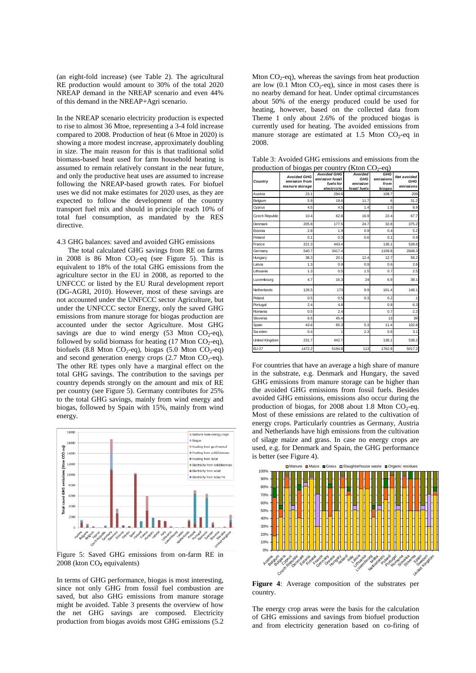(an eight-fold increase) (see Table 2). The agricultural RE production would amount to 30% of the total 2020 NREAP demand in the NREAP scenario and even 44% of this demand in the NREAP+Agri scenario.

In the NREAP scenario electricity production is expected to rise to almost 36 Mtoe, representing a 3-4 fold increase compared to 2008. Production of heat (6 Mtoe in 2020) is showing a more modest increase, approximately doubling in size. The main reason for this is that traditional solid biomass-based heat used for farm household heating is assumed to remain relatively constant in the near future, and only the productive heat uses are assumed to increase following the NREAP-based growth rates. For biofuel uses we did not make estimates for 2020 uses, as they are expected to follow the development of the country transport fuel mix and should in principle reach 10% of total fuel consumption, as mandated by the RES directive.

4.3 GHG balances: saved and avoided GHG emissions

The total calculated GHG savings from RE on farms in 2008 is 86 Mton  $CO<sub>2</sub>$ -eq (see Figure 5). This is equivalent to 18% of the total GHG emissions from the agriculture sector in the EU in 2008, as reported to the UNFCCC or listed by the EU Rural development report (DG-AGRI, 2010). However, most of these savings are not accounted under the UNFCCC sector Agriculture, but under the UNFCCC sector Energy, only the saved GHG emissions from manure storage for biogas production are accounted under the sector Agriculture. Most GHG savings are due to wind energy  $(53 \text{ Mton } CO_2\text{-eq})$ , followed by solid biomass for heating  $(17 \text{ Mton CO}_2\text{-eq})$ , biofuels (8.8 Mton CO<sub>2</sub>-eq), biogas (5.0 Mton CO<sub>2</sub>-eq) and second generation energy crops  $(2.7 \text{ Mton CO}_2\text{-eq})$ . The other RE types only have a marginal effect on the total GHG savings. The contribution to the savings per country depends strongly on the amount and mix of RE per country (see Figure 5). Germany contributes for 25% to the total GHG savings, mainly from wind energy and biogas, followed by Spain with 15%, mainly from wind energy.



Figure 5: Saved GHG emissions from on-farm RE in 2008 (kton CO₂ equivalents)

In terms of GHG performance, biogas is most interesting, since not only GHG from fossil fuel combustion are saved, but also GHG emissions from manure storage might be avoided. Table 3 presents the overview of how the net GHG savings are composed. Electricity production from biogas avoids most GHG emissions (5.2

Mton  $CO_2$ -eq), whereas the savings from heat production are low  $(0.1 \text{ Mton CO}_2\text{-eq})$ , since in most cases there is no nearby demand for heat. Under optimal circumstances about 50% of the energy produced could be used for heating, however, based on the collected data from Theme 1 only about 2.6% of the produced biogas is currently used for heating. The avoided emissions from manure storage are estimated at 1.5 Mton  $CO<sub>2</sub>$ -eq in 2008.

| Country        | $\cdots$<br><b>Avoided GHG</b><br>emission from<br>manure storage | <b>Avoided GHG</b><br>emission fossil<br>fuels for<br>electricity | $($ $\sim$ $\sim$ $\sim$ $\sim$ $\sim$ $\sim$ $\sim$<br>Avoided<br>GHG<br>emission<br>fossil fuels | GHG<br>emissions<br>from<br>biogas | Net avoided<br>GHG<br>emissions |
|----------------|-------------------------------------------------------------------|-------------------------------------------------------------------|----------------------------------------------------------------------------------------------------|------------------------------------|---------------------------------|
| Austria        | 23.1                                                              | 294.6                                                             |                                                                                                    | 108.7                              | 209                             |
| Belgium        | 5.9                                                               | 19.6                                                              | 11.7                                                                                               | 6                                  | 31.2                            |
| Cyprus         | 4.5                                                               | 4.5                                                               | 1.4                                                                                                | 1.5                                | 8.9                             |
| Czech Republic | 10.4                                                              | 62.8                                                              | 16.9                                                                                               | 22.4                               | 67.7                            |
| Denmark        | 205.8                                                             | 177.5                                                             | 24.7                                                                                               | 32.8                               | 375.2                           |
| Estonia        | 2.8                                                               | 1.9                                                               | 0.9                                                                                                | 0.4                                | 5.2                             |
| Finland        | 0.1                                                               | 0.3                                                               | 0.6                                                                                                | 0.1                                | 0.9                             |
| France         | 221.3                                                             | 443.4                                                             |                                                                                                    | 136.1                              | 528.6                           |
| Germany        | 540.7                                                             | 3417.4                                                            |                                                                                                    | 1109.8                             | 2848.3                          |
| Hungary        | 38.3                                                              | 20.1                                                              | 12.4                                                                                               | 12.7                               | 58.2                            |
| Latvia         | 1.3                                                               | 0.9                                                               | 0.9                                                                                                | 0.6                                | 2.6                             |
| Lithuania      | 1.3                                                               | 0.5                                                               | 1.5                                                                                                | 0.7                                | 2.5                             |
| Luxembourg     | 4.7                                                               | 16.3                                                              | 24                                                                                                 | 6.9                                | 38.1                            |
| Netherlands    | 126.5                                                             | 173                                                               | 9.9                                                                                                | 161.4                              | 148.1                           |
| Poland         | 0.5                                                               | 0.5                                                               | 0.3                                                                                                | 0.2                                | 1                               |
| Portugal       | 2.4                                                               | 4.8                                                               |                                                                                                    | 0.8                                | 6.3                             |
| Romania        | 0.5                                                               | 2.4                                                               |                                                                                                    | 0.7                                | 2.2                             |
| Slovenia       | 6.6                                                               | 45.4                                                              |                                                                                                    | 13                                 | 39                              |
| Spain          | 43.6                                                              | 65.3                                                              | 5.3                                                                                                | 11.4                               | 102.8                           |
| Sw eden        | 0.4                                                               | 1                                                                 | 2.3                                                                                                | 0.6                                | 3.1                             |
| United Kingdom | 231.7                                                             | 442.7                                                             |                                                                                                    | 136.1                              | 538.2                           |
| EU-27          | 1472.2                                                            | 5194.8                                                            | 113                                                                                                | 1762.8                             | 5017.2                          |

Table 3: Avoided GHG emissions and emissions from the production of biogas per country (Kton  $CO<sub>2</sub>$ -eq)

For countries that have an average a high share of manure in the substrate, e.g. Denmark and Hungary, the saved GHG emissions from manure storage can be higher than the avoided GHG emissions from fossil fuels. Besides avoided GHG emissions, emissions also occur during the production of biogas, for 2008 about 1.8 Mton  $CO<sub>2</sub>$ -eq. Most of these emissions are related to the cultivation of energy crops. Particularly countries as Germany, Austria and Netherlands have high emissions from the cultivation of silage maize and grass. In case no energy crops are used, e.g. for Denmark and Spain, the GHG performance is better (see Figure 4).



**Figure 4**: Average composition of the substrates per country.

The energy crop areas were the basis for the calculation of GHG emissions and savings from biofuel production and from electricity generation based on co-firing of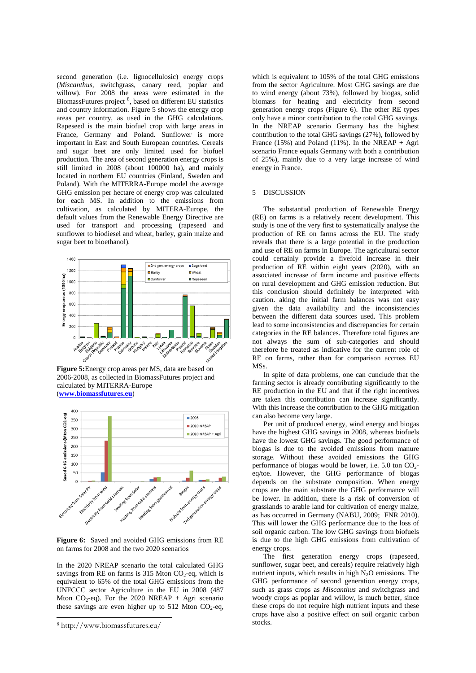second generation (i.e. lignocellulosic) energy crops (*Miscanthus*, switchgrass, canary reed, poplar and willow). For 2008 the areas were estimated in the BiomassFutures project<sup>[8](#page-6-0)</sup>, based on different EU statistics and country information. Figure 5 shows the energy crop areas per country, as used in the GHG calculations. Rapeseed is the main biofuel crop with large areas in France, Germany and Poland. Sunflower is more important in East and South European countries. Cereals and sugar beet are only limited used for biofuel production. The area of second generation energy crops is still limited in 2008 (about 100000 ha), and mainly located in northern EU countries (Finland, Sweden and Poland). With the MITERRA-Europe model the average GHG emission per hectare of energy crop was calculated for each MS. In addition to the emissions from cultivation, as calculated by MITERA-Europe, the default values from the Renewable Energy Directive are used for transport and processing (rapeseed and sunflower to biodiesel and wheat, barley, grain maize and sugar beet to bioethanol).



**Figure 5:**Energy crop areas per MS, data are based on 2006-2008, as collected in BiomassFutures project and calculated by MITERRA-Europe (**[www.biomassfutures.eu](http://www.biomassfutures.eu/)**)



**Figure 6:** Saved and avoided GHG emissions from RE on farms for 2008 and the two 2020 scenarios

In the 2020 NREAP scenario the total calculated GHG savings from RE on farms is 315 Mton  $CO<sub>2</sub>$ -eq, which is equivalent to 65% of the total GHG emissions from the UNFCCC sector Agriculture in the EU in 2008 (487 Mton  $CO_2$ -eq). For the 2020 NREAP + Agri scenario these savings are even higher up to 512 Mton  $CO<sub>2</sub>$ -eq,

1

which is equivalent to 105% of the total GHG emissions from the sector Agriculture. Most GHG savings are due to wind energy (about 73%), followed by biogas, solid biomass for heating and electricity from second generation energy crops (Figure 6). The other RE types only have a minor contribution to the total GHG savings. In the NREAP scenario Germany has the highest contribution to the total GHG savings (27%), followed by France (15%) and Poland (11%). In the NREAP + Agri scenario France equals Germany with both a contribution of 25%), mainly due to a very large increase of wind energy in France.

#### 5 DISCUSSION

The substantial production of Renewable Energy (RE) on farms is a relatively recent development. This study is one of the very first to systematically analyse the production of RE on farms across the EU. The study reveals that there is a large potential in the production and use of RE on farms in Europe. The agricultural sector could certainly provide a fivefold increase in their production of RE within eight years (2020), with an associated increase of farm income and positive effects on rural development and GHG emission reduction. But this conclusion should definitely be interpreted with caution. aking the initial farm balances was not easy given the data availability and the inconsistencies between the different data sources used. This problem lead to some inconsistencies and discrepancies for certain categories in the RE balances. Therefore total figures are not always the sum of sub-categories and should therefore be treated as indicative for the current role of RE on farms, rather than for comparison accross EU MSs.

In spite of data problems, one can cunclude that the farming sector is already contributing significantly to the RE production in the EU and that if the right incentives are taken this contribution can increase significantly. With this increase the contribution to the GHG mitigation can also become very large.

Per unit of produced energy, wind energy and biogas have the highest GHG savings in 2008, whereas biofuels have the lowest GHG savings. The good performance of biogas is due to the avoided emissions from manure storage. Without these avoided emissions the GHG performance of biogas would be lower, i.e.  $5.0$  ton  $CO<sub>2</sub>$ eq/toe. However, the GHG performance of biogas depends on the substrate composition. When energy crops are the main substrate the GHG performance will be lower. In addition, there is a risk of conversion of grasslands to arable land for cultivation of energy maize, as has occurred in Germany (NABU, 2009; FNR 2010). This will lower the GHG performance due to the loss of soil organic carbon. The low GHG savings from biofuels is due to the high GHG emissions from cultivation of energy crops.

The first generation energy crops (rapeseed, sunflower, sugar beet, and cereals) require relatively high nutrient inputs, which results in high  $N_2O$  emissions. The GHG performance of second generation energy crops, such as grass crops as *Miscanthus* and switchgrass and woody crops as poplar and willow, is much better, since these crops do not require high nutrient inputs and these crops have also a positive effect on soil organic carbon stocks.

<span id="page-6-0"></span><sup>8</sup> http://www.biomassfutures.eu/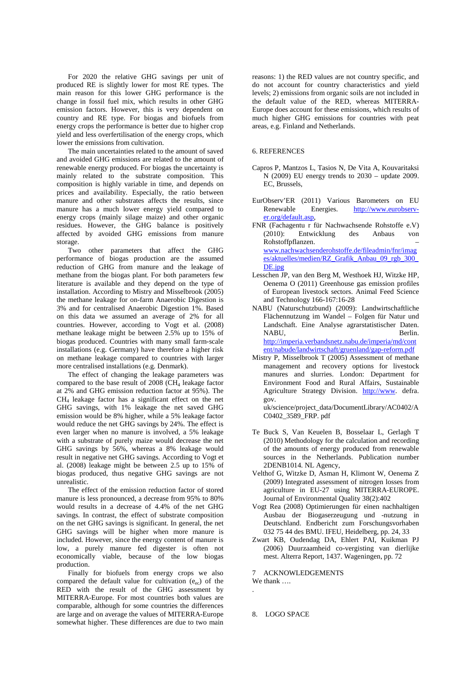For 2020 the relative GHG savings per unit of produced RE is slightly lower for most RE types. The main reason for this lower GHG performance is the change in fossil fuel mix, which results in other GHG emission factors. However, this is very dependent on country and RE type. For biogas and biofuels from energy crops the performance is better due to higher crop yield and less overfertilisation of the energy crops, which lower the emissions from cultivation.

The main uncertainties related to the amount of saved and avoided GHG emissions are related to the amount of renewable energy produced. For biogas the uncertainty is mainly related to the substrate composition. This composition is highly variable in time, and depends on prices and availability. Especially, the ratio between manure and other substrates affects the results, since manure has a much lower energy yield compared to energy crops (mainly silage maize) and other organic residues. However, the GHG balance is positively affected by avoided GHG emissions from manure storage.

Two other parameters that affect the GHG performance of biogas production are the assumed reduction of GHG from manure and the leakage of methane from the biogas plant. For both parameters few literature is available and they depend on the type of installation. According to Mistry and Misselbrook [\(2005\)](#page-7-1) the methane leakage for on-farm Anaerobic Digestion is 3% and for centralised Anaerobic Digestion 1%. Based on this data we assumed an average of 2% for all countries. However, according to Vogt et al. [\(2008\)](#page-7-2) methane leakage might be between 2.5% up to 15% of biogas produced. Countries with many small farm-scale installations (e.g. Germany) have therefore a higher risk on methane leakage compared to countries with larger more centralised installations (e.g. Denmark).

The effect of changing the leakage parameters was compared to the base result of  $2008$  (CH<sub>4</sub> leakage factor at 2% and GHG emission reduction factor at 95%). The CH4 leakage factor has a significant effect on the net GHG savings, with 1% leakage the net saved GHG emission would be 8% higher, while a 5% leakage factor would reduce the net GHG savings by 24%. The effect is even larger when no manure is involved, a 5% leakage with a substrate of purely maize would decrease the net GHG savings by 56%, whereas a 8% leakage would result in negative net GHG savings. According to Vogt et al. [\(2008\)](#page-7-2) leakage might be between 2.5 up to 15% of biogas produced, thus negative GHG savings are not unrealistic.

The effect of the emission reduction factor of stored manure is less pronounced, a decrease from 95% to 80% would results in a decrease of 4.4% of the net GHG savings. In contrast, the effect of substrate composition on the net GHG savings is significant. In general, the net GHG savings will be higher when more manure is included. However, since the energy content of manure is low, a purely manure fed digester is often not economically viable, because of the low biogas production.

Finally for biofuels from energy crops we also compared the default value for cultivation  $(e_{ec})$  of the RED with the result of the GHG assessment by MITERRA-Europe. For most countries both values are comparable, although for some countries the differences are large and on average the values of MITERRA-Europe somewhat higher. These differences are due to two main

reasons: 1) the RED values are not country specific, and do not account for country characteristics and yield levels; 2) emissions from organic soils are not included in the default value of the RED, whereas MITERRA-Europe does account for these emissions, which results of much higher GHG emissions for countries with peat areas, e.g. Finland and Netherlands.

#### 6. REFERENCES

- Capros P, Mantzos L, Tasios N, De Vita A, Kouvaritaksi N (2009) EU energy trends to 2030 – update 2009. EC, Brussels,
- <span id="page-7-0"></span>EurObserv'ER (2011) Various Barometers on EU Renewable Energies. [http://www.eurobserv](http://www.eurobserv-er.org/default.asp)[er.org/default.asp,](http://www.eurobserv-er.org/default.asp)
- FNR (Fachagentu r für Nachwachsende Rohstoffe e.V)<br>
(2010): Entwicklung des Anbaus von (2010): Entwicklung des Anbaus von Rohstoffpflanzen. – [www.nachwachsenderohstoffe.de/fileadmin/fnr/imag](http://www.nachwachsenderohstoffe.de/fileadmin/fnr/images/aktuelles/medien/RZ_Grafik_Anbau_09_rgb_300_DE.jpg) [es/aktuelles/medien/RZ\\_Grafik\\_Anbau\\_09\\_rgb\\_300\\_](http://www.nachwachsenderohstoffe.de/fileadmin/fnr/images/aktuelles/medien/RZ_Grafik_Anbau_09_rgb_300_DE.jpg) [DE.jpg](http://www.nachwachsenderohstoffe.de/fileadmin/fnr/images/aktuelles/medien/RZ_Grafik_Anbau_09_rgb_300_DE.jpg)
- Lesschen JP, van den Berg M, Westhoek HJ, Witzke HP, Oenema O (2011) Greenhouse gas emission profiles of European livestock sectors. Animal Feed Science and Technology 166-167:16-28
- NABU (Naturschutzbund) (2009): Landwirtschaftliche Flächennutzung im Wandel – Folgen für Natur und Landschaft. Eine Analyse agrarstatistischer Daten. NABU, Berlin. [http://imperia.verbandsnetz.nabu.de/imperia/md/cont](http://imperia.verbandsnetz.nabu.de/imperia/md/content/nabude/landwirtschaft/gruenland/gap-reform.pdf) [ent/nabude/landwirtschaft/gruenland/gap-reform.pdf](http://imperia.verbandsnetz.nabu.de/imperia/md/content/nabude/landwirtschaft/gruenland/gap-reform.pdf)
- <span id="page-7-1"></span>Mistry P, Misselbrook T (2005) Assessment of methane management and recovery options for livestock manures and slurries. London: Department for Environment Food and Rural Affairs, Sustainable Agriculture Strategy Division. [http://www.](http://www/) defra. gov.

uk/science/project\_data/DocumentLibrary/AC0402/A C0402\_3589\_FRP. pdf

- Te Buck S, Van Keuelen B, Bosselaar L, Gerlagh T (2010) Methodology for the calculation and recording of the amounts of energy produced from renewable sources in the Netherlands. Publication number 2DENB1014. NL Agency,
- Velthof G, Witzke D, Asman H, Klimont W, Oenema Z (2009) Integrated assessment of nitrogen losses from agriculture in EU-27 using MITERRA-EUROPE. Journal of Environmental Quality 38(2):402
- <span id="page-7-2"></span>Vogt Rea (2008) Optimierungen für einen nachhaltigen Ausbau der Biogaserzeugung und -nutzung in Deutschland. Endbericht zum Forschungsvorhaben 032 75 44 des BMU. IFEU, Heidelberg, pp. 24, 33
- Zwart KB, Oudendag DA, Ehlert PAI, Kuikman PJ (2006) Duurzaamheid co-vergisting van dierlijke mest. Alterra Report, 1437. Wageningen, pp. 72

7 ACKNOWLEDGEMENTS We thank ….

8. LOGO SPACE

.